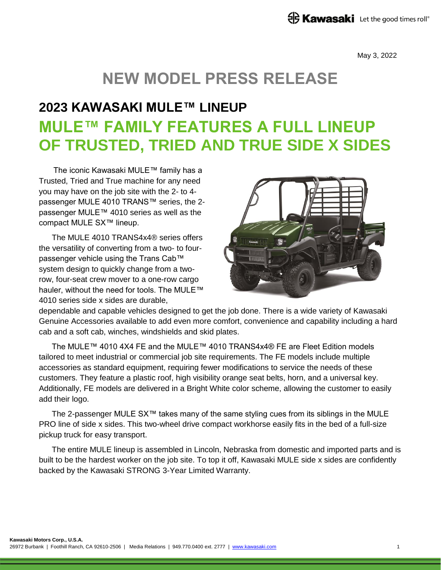May 3, 2022

## **NEW MODEL PRESS RELEASE**

## **2023 KAWASAKI MULE™ LINEUP MULE™ FAMILY FEATURES A FULL LINEUP OF TRUSTED, TRIED AND TRUE SIDE X SIDES**

The iconic Kawasaki MULE™ family has a Trusted, Tried and True machine for any need you may have on the job site with the 2- to 4 passenger MULE 4010 TRANS™ series, the 2 passenger MULE™ 4010 series as well as the compact MULE SX™ lineup.

The MULE 4010 TRANS4x4® series offers the versatility of converting from a two- to fourpassenger vehicle using the Trans Cab™ system design to quickly change from a tworow, four-seat crew mover to a one-row cargo hauler, without the need for tools. The MULE™ 4010 series side x sides are durable,



dependable and capable vehicles designed to get the job done. There is a wide variety of Kawasaki Genuine Accessories available to add even more comfort, convenience and capability including a hard cab and a soft cab, winches, windshields and skid plates.

The MULE™ 4010 4X4 FE and the MULE™ 4010 TRANS4x4® FE are Fleet Edition models tailored to meet industrial or commercial job site requirements. The FE models include multiple accessories as standard equipment, requiring fewer modifications to service the needs of these customers. They feature a plastic roof, high visibility orange seat belts, horn, and a universal key. Additionally, FE models are delivered in a Bright White color scheme, allowing the customer to easily add their logo.

The 2-passenger MULE SX™ takes many of the same styling cues from its siblings in the MULE PRO line of side x sides. This two-wheel drive compact workhorse easily fits in the bed of a full-size pickup truck for easy transport.

The entire MULE lineup is assembled in Lincoln, Nebraska from domestic and imported parts and is built to be the hardest worker on the job site. To top it off, Kawasaki MULE side x sides are confidently backed by the Kawasaki STRONG 3-Year Limited Warranty.